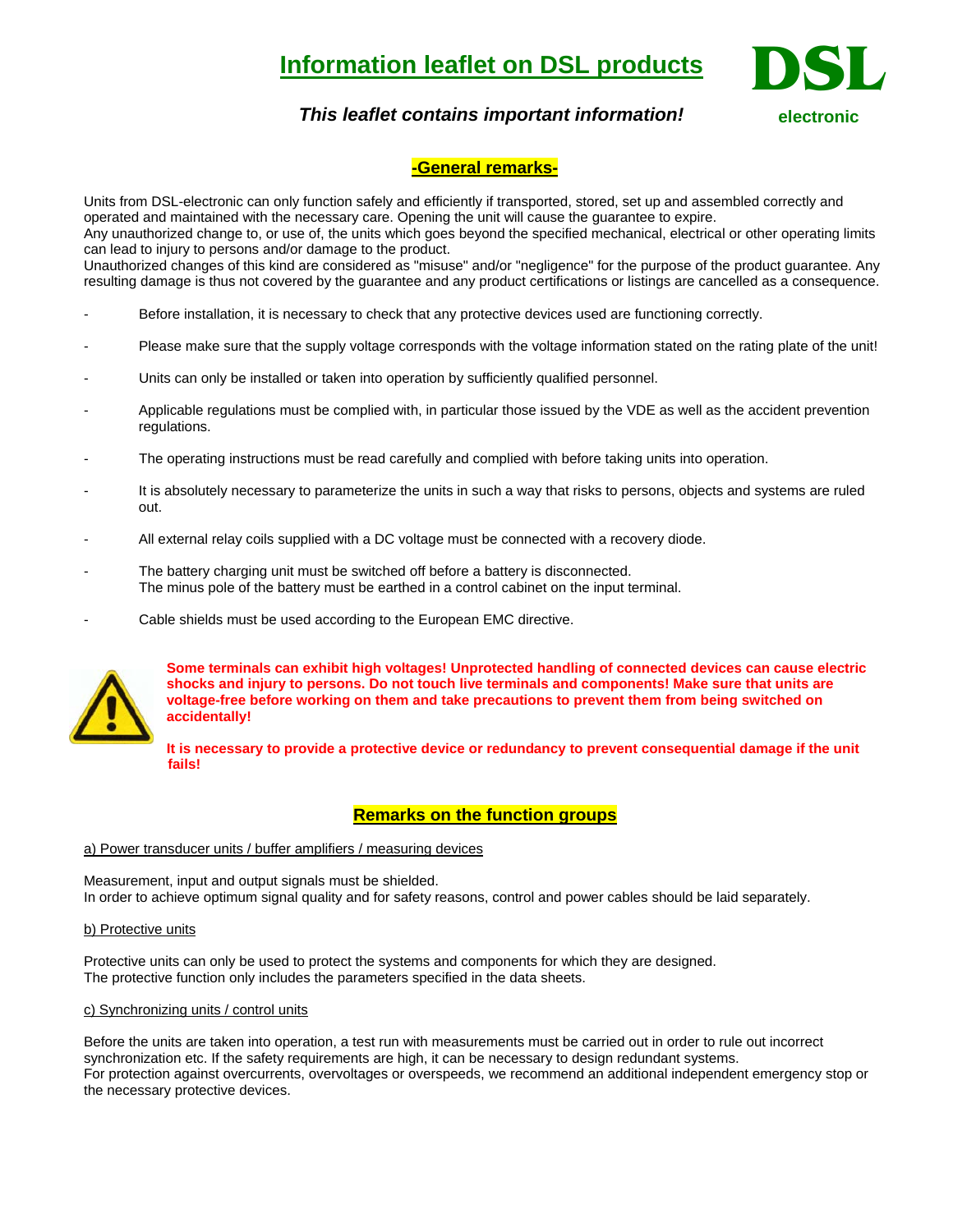# **Information leaflet on DSL products**



# *This leaflet contains important information!*

# **-General remarks-**

Units from DSL-electronic can only function safely and efficiently if transported, stored, set up and assembled correctly and operated and maintained with the necessary care. Opening the unit will cause the guarantee to expire. Any unauthorized change to, or use of, the units which goes beyond the specified mechanical, electrical or other operating limits can lead to injury to persons and/or damage to the product.

Unauthorized changes of this kind are considered as "misuse" and/or "negligence" for the purpose of the product guarantee. Any resulting damage is thus not covered by the guarantee and any product certifications or listings are cancelled as a consequence.

- Before installation, it is necessary to check that any protective devices used are functioning correctly.
- Please make sure that the supply voltage corresponds with the voltage information stated on the rating plate of the unit!
- Units can only be installed or taken into operation by sufficiently qualified personnel.
- Applicable regulations must be complied with, in particular those issued by the VDE as well as the accident prevention regulations.
- The operating instructions must be read carefully and complied with before taking units into operation.
- It is absolutely necessary to parameterize the units in such a way that risks to persons, objects and systems are ruled out.
- All external relay coils supplied with a DC voltage must be connected with a recovery diode.
- The battery charging unit must be switched off before a battery is disconnected. The minus pole of the battery must be earthed in a control cabinet on the input terminal.
- Cable shields must be used according to the European EMC directive.



**Some terminals can exhibit high voltages! Unprotected handling of connected devices can cause electric shocks and injury to persons. Do not touch live terminals and components! Make sure that units are voltage-free before working on them and take precautions to prevent them from being switched on accidentally!** 

**It is necessary to provide a protective device or redundancy to prevent consequential damage if the unit fails!** 

# **Remarks on the function groups**

#### a) Power transducer units / buffer amplifiers / measuring devices

Measurement, input and output signals must be shielded. In order to achieve optimum signal quality and for safety reasons, control and power cables should be laid separately.

#### b) Protective units

Protective units can only be used to protect the systems and components for which they are designed. The protective function only includes the parameters specified in the data sheets.

### c) Synchronizing units / control units

Before the units are taken into operation, a test run with measurements must be carried out in order to rule out incorrect synchronization etc. If the safety requirements are high, it can be necessary to design redundant systems. For protection against overcurrents, overvoltages or overspeeds, we recommend an additional independent emergency stop or the necessary protective devices.